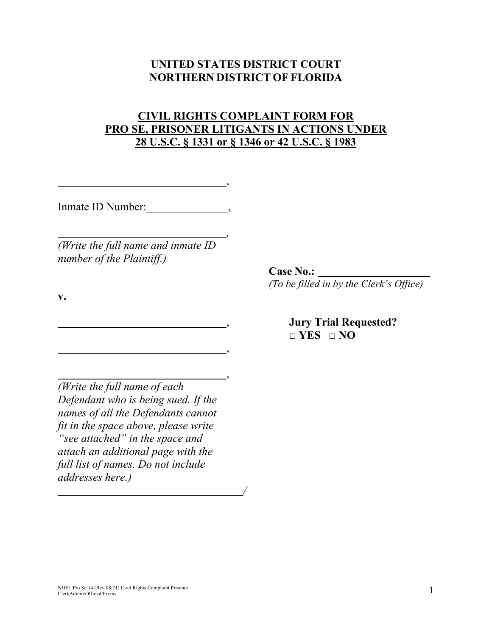### **UNITED STATES DISTRICT COURT NORTHERN DISTRICT OF FLORIDA**

## **CIVIL RIGHTS COMPLAINT FORM FOR PRO SE, PRISONER LITIGANTS IN ACTIONS UNDER 28 U.S.C. § 1331 or § 1346 or 42 U.S.C. § 1983**

,

*,* 

,

,

*/*

Inmate ID Number: ,

*(Write the full name and inmate ID number of the Plaintiff.)*

**v.**

*(Write the full name of each Defendant who is being sued. If the names of all the Defendants cannot fit in the space above, please write "see attached" in the space and attach an additional page with the full list of names. Do not include addresses here.)*

**Case No.:** 

*(To be filled in by the Clerk's Office)*

, **Jury Trial Requested? □ YES □ NO**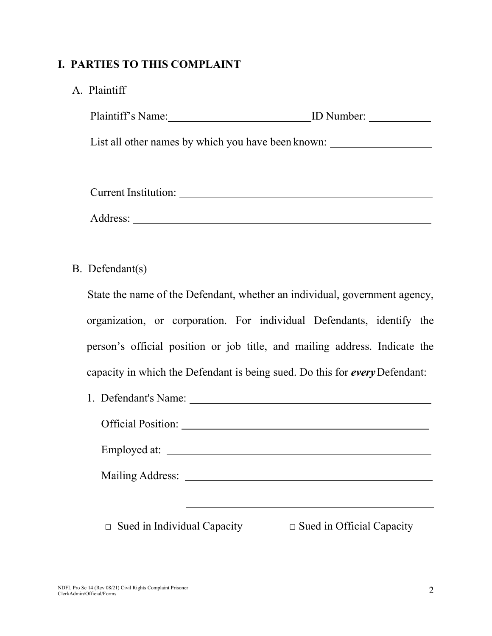# **I. PARTIES TO THIS COMPLAINT**

| A. Plaintiff |
|--------------|
|              |

| List all other names by which you have been known: _____________________________ |  |
|----------------------------------------------------------------------------------|--|
|                                                                                  |  |
|                                                                                  |  |
|                                                                                  |  |
| ,我们也不会有一个人的人,我们也不会有一个人的人,我们也不会有一个人的人。""我们的人,我们也不会有一个人的人,我们也不会有一个人的人。""我们的人,我们也不会 |  |
| B. Defendant(s)                                                                  |  |
| State the name of the Defendant, whether an individual, government agency,       |  |
| organization, or corporation. For individual Defendants, identify the            |  |
| person's official position or job title, and mailing address. Indicate the       |  |
| capacity in which the Defendant is being sued. Do this for every Defendant:      |  |
|                                                                                  |  |
|                                                                                  |  |
|                                                                                  |  |
|                                                                                  |  |

**□** Sued in Individual Capacity **□** Sued in Official Capacity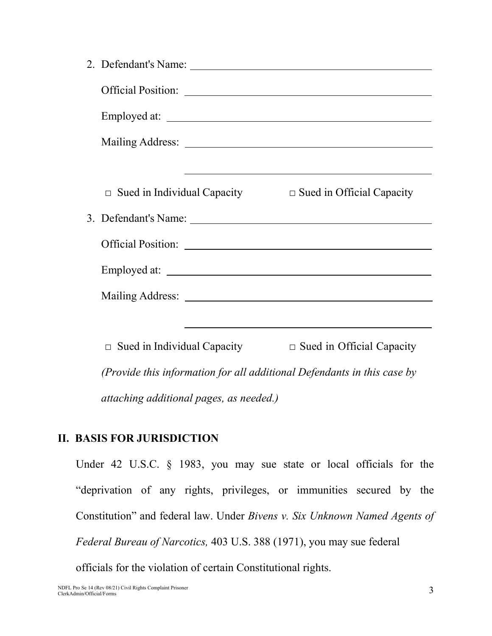| $\Box$ Sued in Individual Capacity<br>$\Box$ Sued in Official Capacity                                           |
|------------------------------------------------------------------------------------------------------------------|
|                                                                                                                  |
|                                                                                                                  |
| Employed at:                                                                                                     |
|                                                                                                                  |
| and the control of the control of the control of the control of the control of the control of the control of the |
| $\Box$ Sued in Individual Capacity<br>$\Box$ Sued in Official Capacity                                           |
| (Provide this information for all additional Defendants in this case by                                          |
|                                                                                                                  |

*attaching additional pages, as needed.)*

# **II. BASIS FOR JURISDICTION**

Under 42 U.S.C. § 1983, you may sue state or local officials for the "deprivation of any rights, privileges, or immunities secured by the Constitution" and federal law. Under *Bivens v. Six Unknown Named Agents of Federal Bureau of Narcotics,* 403 U.S. 388 (1971), you may sue federal

officials for the violation of certain Constitutional rights.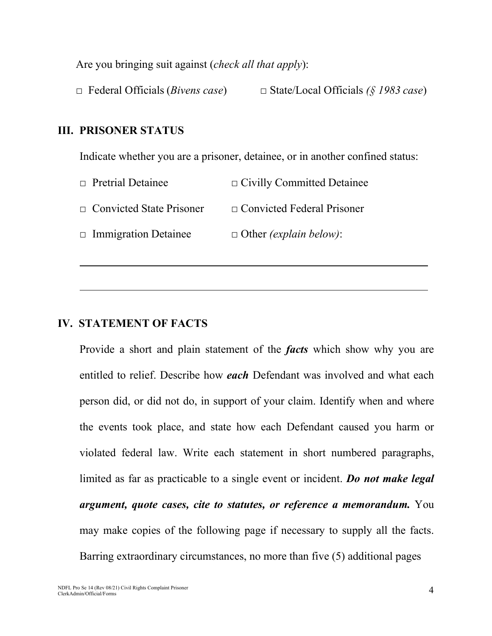Are you bringing suit against (*check all that apply*):

**□** Federal Officials (*Bivens case*) **□** State/Local Officials *(§ 1983 case*)

### **III. PRISONER STATUS**

Indicate whether you are a prisoner, detainee, or in another confined status:

| $\Box$ Pretrial Detainee        | $\Box$ Civilly Committed Detainee     |
|---------------------------------|---------------------------------------|
| $\Box$ Convicted State Prisoner | $\Box$ Convicted Federal Prisoner     |
| $\Box$ Immigration Detainee     | $\Box$ Other <i>(explain below)</i> : |

## **IV. STATEMENT OF FACTS**

Provide a short and plain statement of the *facts* which show why you are entitled to relief. Describe how *each* Defendant was involved and what each person did, or did not do, in support of your claim. Identify when and where the events took place, and state how each Defendant caused you harm or violated federal law. Write each statement in short numbered paragraphs, limited as far as practicable to a single event or incident. *Do not make legal argument, quote cases, cite to statutes, or reference a memorandum.* You may make copies of the following page if necessary to supply all the facts. Barring extraordinary circumstances, no more than five (5) additional pages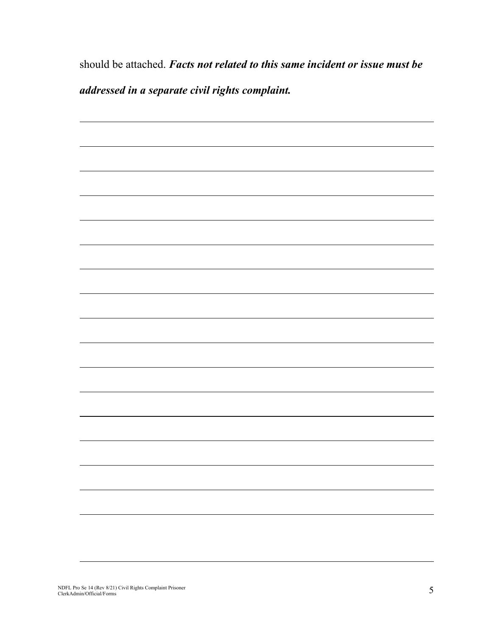should be attached. *Facts not related to this same incident or issue must be addressed in a separate civil rights complaint.*

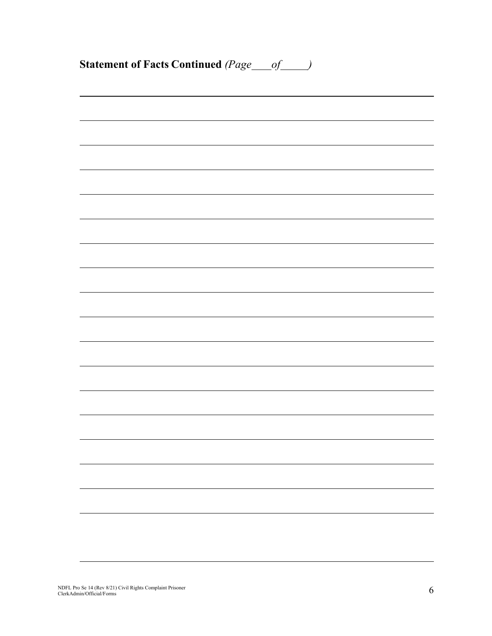| <b>Statement of Facts Continued (Page</b> ___ of ____) |  |  |
|--------------------------------------------------------|--|--|
|                                                        |  |  |
|                                                        |  |  |
|                                                        |  |  |
|                                                        |  |  |
|                                                        |  |  |
|                                                        |  |  |
|                                                        |  |  |
|                                                        |  |  |
|                                                        |  |  |
|                                                        |  |  |
|                                                        |  |  |
|                                                        |  |  |
|                                                        |  |  |
|                                                        |  |  |
|                                                        |  |  |
|                                                        |  |  |
|                                                        |  |  |
|                                                        |  |  |
|                                                        |  |  |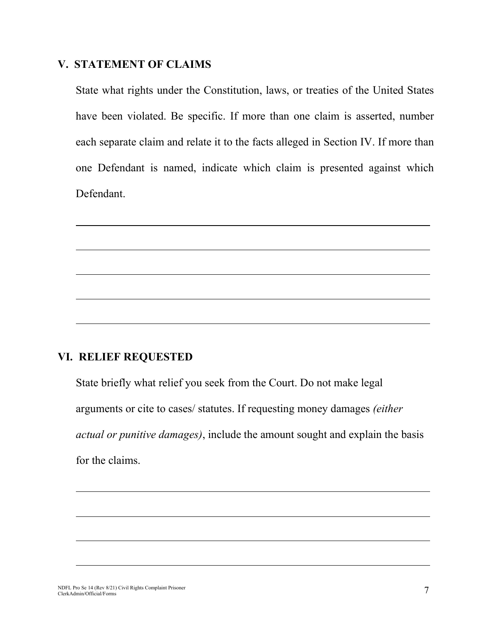#### **V. STATEMENT OF CLAIMS**

State what rights under the Constitution, laws, or treaties of the United States have been violated. Be specific. If more than one claim is asserted, number each separate claim and relate it to the facts alleged in Section IV. If more than one Defendant is named, indicate which claim is presented against which Defendant.

### **VI. RELIEF REQUESTED**

State briefly what relief you seek from the Court. Do not make legal arguments or cite to cases/ statutes. If requesting money damages *(either actual or punitive damages)*, include the amount sought and explain the basis for the claims.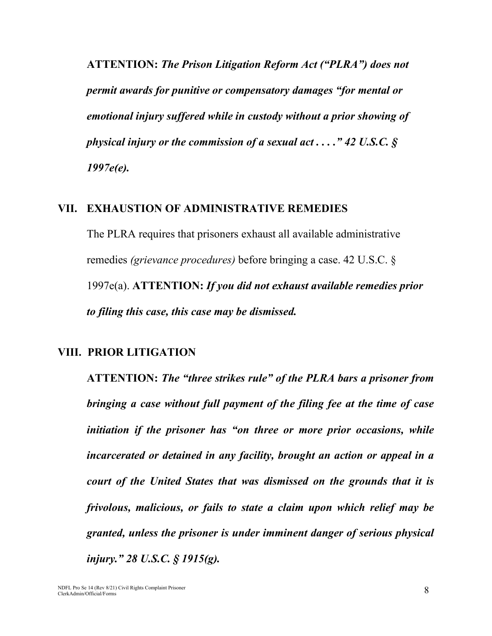**ATTENTION:** *The Prison Litigation Reform Act ("PLRA") does not permit awards for punitive or compensatory damages "for mental or emotional injury suffered while in custody without a prior showing of physical injury or the commission of a sexual act . . . ." 42 U.S.C. § 1997e(e).*

#### **VII. EXHAUSTION OF ADMINISTRATIVE REMEDIES**

The PLRA requires that prisoners exhaust all available administrative remedies *(grievance procedures)* before bringing a case. 42 U.S.C. § 1997e(a). **ATTENTION:** *If you did not exhaust available remedies prior to filing this case, this case may be dismissed.*

#### **VIII. PRIOR LITIGATION**

**ATTENTION:** *The "three strikes rule" of the PLRA bars a prisoner from bringing a case without full payment of the filing fee at the time of case initiation if the prisoner has "on three or more prior occasions, while incarcerated or detained in any facility, brought an action or appeal in a court of the United States that was dismissed on the grounds that it is frivolous, malicious, or fails to state a claim upon which relief may be granted, unless the prisoner is under imminent danger of serious physical injury." 28 U.S.C. § 1915(g).*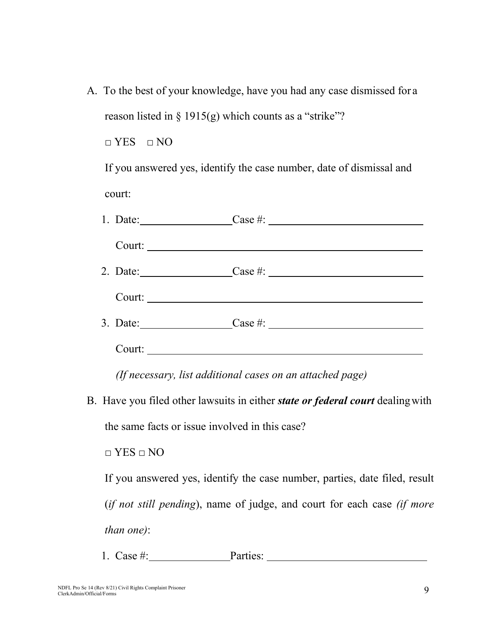A. To the best of your knowledge, have you had any case dismissed for a reason listed in  $\S$  1915(g) which counts as a "strike"?

 $\Box$  YES  $\Box$  NO

If you answered yes, identify the case number, date of dismissal and court:

| 1. Date: |  |
|----------|--|
|          |  |
|          |  |
| Court:   |  |
|          |  |
| Court:   |  |

*(If necessary, list additional cases on an attached page)*

B. Have you filed other lawsuits in either *state or federal court* dealingwith

the same facts or issue involved in this case?

□ YES □ NO

If you answered yes, identify the case number, parties, date filed, result (*if not still pending*), name of judge, and court for each case *(if more than one)*:

1. Case #: Parties: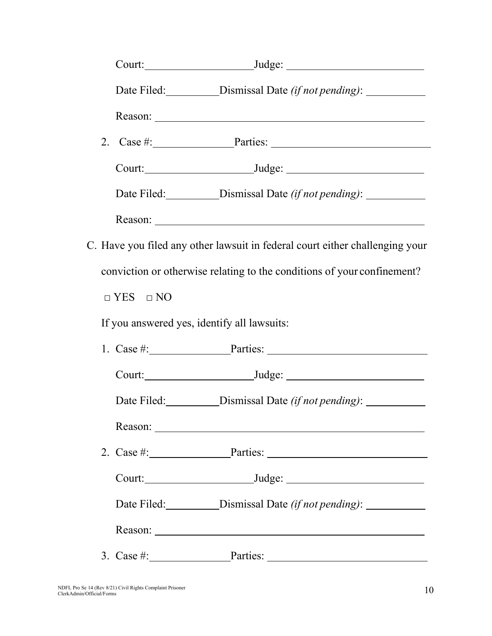|                                             | Date Filed: _____________Dismissal Date (if not pending): ________________       |
|---------------------------------------------|----------------------------------------------------------------------------------|
|                                             |                                                                                  |
|                                             |                                                                                  |
|                                             |                                                                                  |
|                                             | Date Filed: _____________Dismissal Date (if not pending): ________________       |
|                                             |                                                                                  |
|                                             | C. Have you filed any other lawsuit in federal court either challenging your     |
|                                             | conviction or otherwise relating to the conditions of your confinement?          |
| $\Box$ YES $\Box$ NO                        |                                                                                  |
| If you answered yes, identify all lawsuits: |                                                                                  |
|                                             | 1. Case #: $Parties:$                                                            |
|                                             |                                                                                  |
|                                             | Date Filed: ______________Dismissal Date (if not pending): _______________       |
|                                             |                                                                                  |
|                                             | 2. Case #: $\qquad \qquad$ Parties:                                              |
|                                             |                                                                                  |
|                                             | Date Filed: ____________Dismissal Date (if not pending): _______________________ |
|                                             |                                                                                  |
|                                             | 3. Case #: $Parties:$                                                            |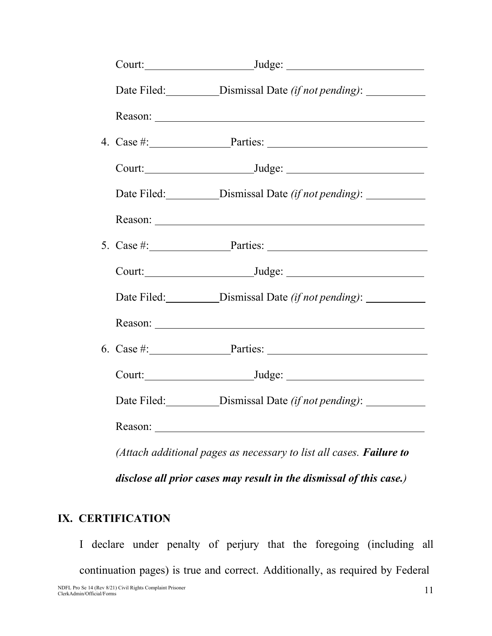|         | 4. Case #: Parties: Parties:                                                     |
|---------|----------------------------------------------------------------------------------|
|         |                                                                                  |
|         |                                                                                  |
|         |                                                                                  |
|         | 5. Case $\#$ : Parties:                                                          |
|         |                                                                                  |
|         | Date Filed: ____________Dismissal Date (if not pending): _______________________ |
|         |                                                                                  |
|         | 6. Case $\#$ : $\qquad \qquad$ Parties: $\qquad \qquad$                          |
|         |                                                                                  |
|         |                                                                                  |
| Reason: |                                                                                  |
|         | (Attach additional pages as necessary to list all cases. Failure to              |
|         | disclose all prior cases may result in the dismissal of this case.)              |

## **IX. CERTIFICATION**

I declare under penalty of perjury that the foregoing (including all continuation pages) is true and correct. Additionally, as required by Federal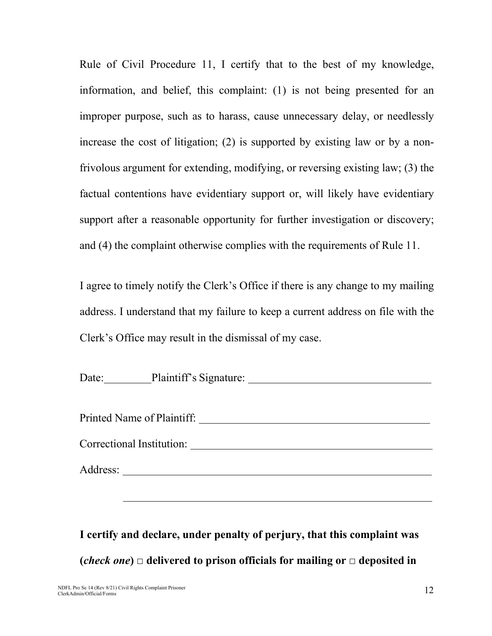Rule of Civil Procedure 11, I certify that to the best of my knowledge, information, and belief, this complaint: (1) is not being presented for an improper purpose, such as to harass, cause unnecessary delay, or needlessly increase the cost of litigation; (2) is supported by existing law or by a nonfrivolous argument for extending, modifying, or reversing existing law; (3) the factual contentions have evidentiary support or, will likely have evidentiary support after a reasonable opportunity for further investigation or discovery; and (4) the complaint otherwise complies with the requirements of Rule 11.

I agree to timely notify the Clerk's Office if there is any change to my mailing address. I understand that my failure to keep a current address on file with the Clerk's Office may result in the dismissal of my case.

Date: Plaintiff's Signature: Printed Name of Plaintiff: Correctional Institution: Address:

**I certify and declare, under penalty of perjury, that this complaint was (***check one***) □ delivered to prison officials for mailing or □ deposited in**